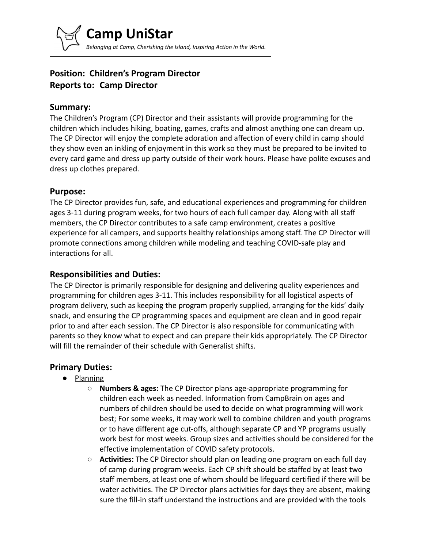# **Position: Children's Program Director Reports to: Camp Director**

### **Summary:**

The Children's Program (CP) Director and their assistants will provide programming for the children which includes hiking, boating, games, crafts and almost anything one can dream up. The CP Director will enjoy the complete adoration and affection of every child in camp should they show even an inkling of enjoyment in this work so they must be prepared to be invited to every card game and dress up party outside of their work hours. Please have polite excuses and dress up clothes prepared.

### **Purpose:**

The CP Director provides fun, safe, and educational experiences and programming for children ages 3-11 during program weeks, for two hours of each full camper day. Along with all staff members, the CP Director contributes to a safe camp environment, creates a positive experience for all campers, and supports healthy relationships among staff. The CP Director will promote connections among children while modeling and teaching COVID-safe play and interactions for all.

### **Responsibilities and Duties:**

The CP Director is primarily responsible for designing and delivering quality experiences and programming for children ages 3-11. This includes responsibility for all logistical aspects of program delivery, such as keeping the program properly supplied, arranging for the kids' daily snack, and ensuring the CP programming spaces and equipment are clean and in good repair prior to and after each session. The CP Director is also responsible for communicating with parents so they know what to expect and can prepare their kids appropriately. The CP Director will fill the remainder of their schedule with Generalist shifts.

### **Primary Duties:**

- Planning
	- **Numbers & ages:** The CP Director plans age-appropriate programming for children each week as needed. Information from CampBrain on ages and numbers of children should be used to decide on what programming will work best; For some weeks, it may work well to combine children and youth programs or to have different age cut-offs, although separate CP and YP programs usually work best for most weeks. Group sizes and activities should be considered for the effective implementation of COVID safety protocols.
	- **Activities:** The CP Director should plan on leading one program on each full day of camp during program weeks. Each CP shift should be staffed by at least two staff members, at least one of whom should be lifeguard certified if there will be water activities. The CP Director plans activities for days they are absent, making sure the fill-in staff understand the instructions and are provided with the tools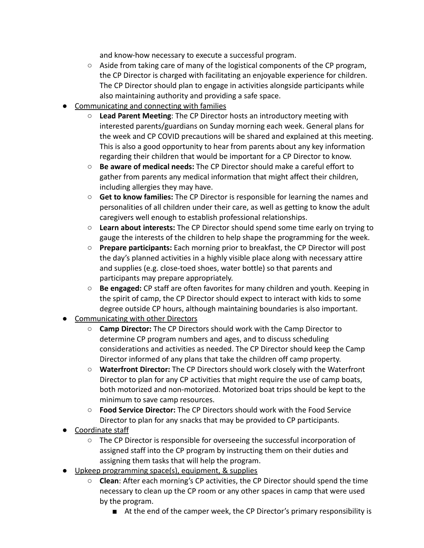and know-how necessary to execute a successful program.

- Aside from taking care of many of the logistical components of the CP program, the CP Director is charged with facilitating an enjoyable experience for children. The CP Director should plan to engage in activities alongside participants while also maintaining authority and providing a safe space.
- Communicating and connecting with families
	- **Lead Parent Meeting**: The CP Director hosts an introductory meeting with interested parents/guardians on Sunday morning each week. General plans for the week and CP COVID precautions will be shared and explained at this meeting. This is also a good opportunity to hear from parents about any key information regarding their children that would be important for a CP Director to know.
	- **Be aware of medical needs:** The CP Director should make a careful effort to gather from parents any medical information that might affect their children, including allergies they may have.
	- **Get to know families:** The CP Director is responsible for learning the names and personalities of all children under their care, as well as getting to know the adult caregivers well enough to establish professional relationships.
	- **Learn about interests:** The CP Director should spend some time early on trying to gauge the interests of the children to help shape the programming for the week.
	- **Prepare participants:** Each morning prior to breakfast, the CP Director will post the day's planned activities in a highly visible place along with necessary attire and supplies (e.g. close-toed shoes, water bottle) so that parents and participants may prepare appropriately.
	- **Be engaged:** CP staff are often favorites for many children and youth. Keeping in the spirit of camp, the CP Director should expect to interact with kids to some degree outside CP hours, although maintaining boundaries is also important.
- **Communicating with other Directors** 
	- **Camp Director:** The CP Directors should work with the Camp Director to determine CP program numbers and ages, and to discuss scheduling considerations and activities as needed. The CP Director should keep the Camp Director informed of any plans that take the children off camp property.
	- **Waterfront Director:** The CP Directors should work closely with the Waterfront Director to plan for any CP activities that might require the use of camp boats, both motorized and non-motorized. Motorized boat trips should be kept to the minimum to save camp resources.
	- **Food Service Director:** The CP Directors should work with the Food Service Director to plan for any snacks that may be provided to CP participants.
- Coordinate staff
	- The CP Director is responsible for overseeing the successful incorporation of assigned staff into the CP program by instructing them on their duties and assigning them tasks that will help the program.
- Upkeep programming space(s), equipment, & supplies
	- **Clean**: After each morning's CP activities, the CP Director should spend the time necessary to clean up the CP room or any other spaces in camp that were used by the program.
		- At the end of the camper week, the CP Director's primary responsibility is